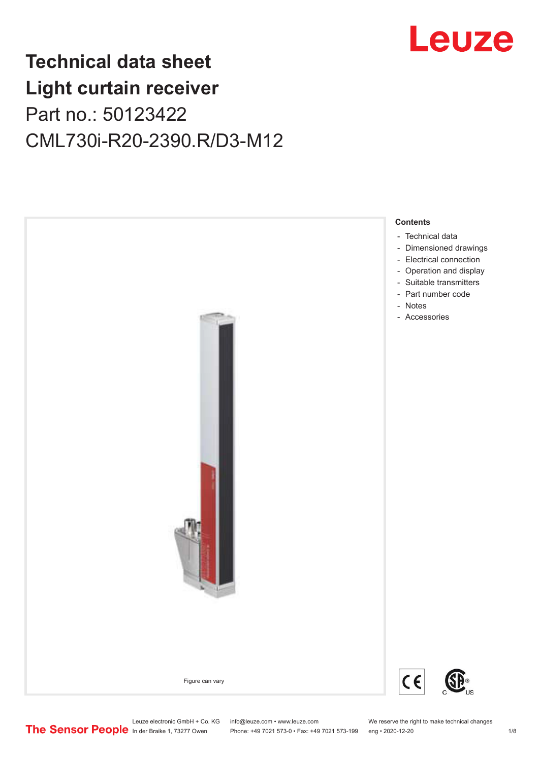

## **Technical data sheet Light curtain receiver** Part no.: 50123422 CML730i-R20-2390.R/D3-M12



Leuze electronic GmbH + Co. KG info@leuze.com • www.leuze.com We reserve the right to make technical changes<br>
The Sensor People in der Braike 1, 73277 Owen Phone: +49 7021 573-0 • Fax: +49 7021 573-199 eng • 2020-12-20

Phone: +49 7021 573-0 • Fax: +49 7021 573-199 eng • 2020-12-20 1 2020-12-20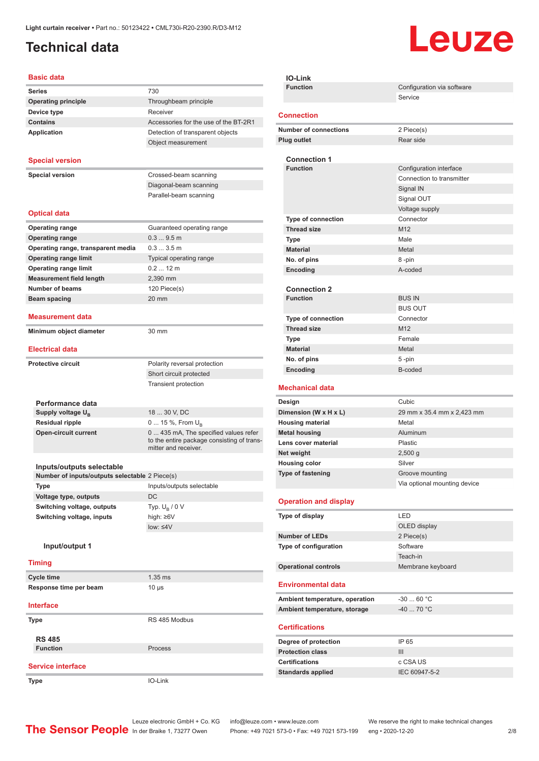### <span id="page-1-0"></span>**Technical data**

# Leuze

#### **Basic data**

| טוסט טופ                                       |                                                                    |
|------------------------------------------------|--------------------------------------------------------------------|
| <b>Series</b>                                  | 730                                                                |
| <b>Operating principle</b>                     | Throughbeam principle                                              |
| Device type                                    | Receiver                                                           |
| <b>Contains</b>                                | Accessories for the use of the BT-2R1                              |
| Application                                    | Detection of transparent objects                                   |
|                                                | Object measurement                                                 |
| <b>Special version</b>                         |                                                                    |
|                                                |                                                                    |
| <b>Special version</b>                         | Crossed-beam scanning                                              |
|                                                | Diagonal-beam scanning                                             |
|                                                | Parallel-beam scanning                                             |
| <b>Optical data</b>                            |                                                                    |
| <b>Operating range</b>                         | Guaranteed operating range                                         |
| <b>Operating range</b>                         | $0.39.5$ m                                                         |
| Operating range, transparent media             | 0.33.5m                                                            |
| <b>Operating range limit</b>                   | Typical operating range                                            |
| <b>Operating range limit</b>                   | $0.212$ m                                                          |
| <b>Measurement field length</b>                | 2,390 mm                                                           |
| <b>Number of beams</b>                         | 120 Piece(s)                                                       |
| <b>Beam spacing</b>                            | 20 mm                                                              |
|                                                |                                                                    |
| <b>Measurement data</b>                        |                                                                    |
| Minimum object diameter                        | 30 mm                                                              |
| <b>Electrical data</b>                         |                                                                    |
| <b>Protective circuit</b>                      | Polarity reversal protection                                       |
|                                                | Short circuit protected                                            |
|                                                | <b>Transient protection</b>                                        |
|                                                |                                                                    |
| Performance data                               |                                                                    |
| Supply voltage $U_{\rm B}$                     | 18  30 V, DC                                                       |
| <b>Residual ripple</b>                         | 0  15 %, From $U_{\rm B}$                                          |
| <b>Open-circuit current</b>                    | 0  435 mA, The specified values refer                              |
|                                                | to the entire package consisting of trans-<br>mitter and receiver. |
|                                                |                                                                    |
| Inputs/outputs selectable                      |                                                                    |
| Number of inputs/outputs selectable 2 Piece(s) |                                                                    |
| Type                                           | Inputs/outputs selectable                                          |
| Voltage type, outputs                          | DC                                                                 |
| Switching voltage, outputs                     | Typ. $U_B / 0 V$                                                   |
| Switching voltage, inputs                      | high: ≥6V                                                          |
|                                                | low: $\leq 4V$                                                     |
| Input/output 1                                 |                                                                    |
|                                                |                                                                    |
| <b>Timing</b>                                  |                                                                    |
| <b>Cycle time</b>                              | 1.35 ms                                                            |
| Response time per beam                         | 10 µs                                                              |
| <b>Interface</b>                               |                                                                    |
| <b>Type</b>                                    | RS 485 Modbus                                                      |
|                                                |                                                                    |
| <b>RS 485</b><br><b>Function</b>               | Process                                                            |
|                                                |                                                                    |
| <b>Service interface</b>                       |                                                                    |
| Type                                           | IO-Link                                                            |

| <b>IO-Link</b>                                     |                              |
|----------------------------------------------------|------------------------------|
| <b>Function</b>                                    | Configuration via software   |
|                                                    | Service                      |
| <b>Connection</b>                                  |                              |
|                                                    |                              |
| <b>Number of connections</b><br><b>Plug outlet</b> | 2 Piece(s)<br>Rear side      |
|                                                    |                              |
| <b>Connection 1</b>                                |                              |
| <b>Function</b>                                    | Configuration interface      |
|                                                    | Connection to transmitter    |
|                                                    | Signal IN                    |
|                                                    | Signal OUT                   |
|                                                    | Voltage supply               |
| <b>Type of connection</b>                          | Connector                    |
| <b>Thread size</b>                                 | M12                          |
| Type                                               | Male                         |
| <b>Material</b>                                    | Metal                        |
| No. of pins                                        | 8-pin                        |
| Encoding                                           | A-coded                      |
| <b>Connection 2</b>                                |                              |
| <b>Function</b>                                    | <b>BUS IN</b>                |
|                                                    | <b>BUS OUT</b>               |
| Type of connection                                 | Connector                    |
| <b>Thread size</b>                                 | M <sub>12</sub>              |
| <b>Type</b>                                        | Female                       |
| <b>Material</b>                                    | Metal                        |
| No. of pins                                        | 5-pin                        |
|                                                    |                              |
| Encoding                                           | B-coded                      |
|                                                    |                              |
| <b>Mechanical data</b>                             |                              |
| Design                                             | Cubic                        |
| Dimension (W x H x L)                              | 29 mm x 35.4 mm x 2,423 mm   |
| <b>Housing material</b>                            | Metal                        |
| <b>Metal housing</b>                               | Aluminum                     |
| Lens cover material                                | Plastic                      |
| Net weight                                         | 2,500 g                      |
| <b>Housing color</b>                               | Silver                       |
| Type of fastening                                  | Groove mounting              |
|                                                    | Via optional mounting device |
| <b>Operation and display</b>                       |                              |
| Type of display                                    | LED                          |
|                                                    | OLED display                 |
| <b>Number of LEDs</b>                              | 2 Piece(s)                   |
| Type of configuration                              | Software                     |
|                                                    | Teach-in                     |
| <b>Operational controls</b>                        | Membrane keyboard            |
|                                                    |                              |
| <b>Environmental data</b>                          |                              |
| Ambient temperature, operation                     | $-3060 °C$                   |
| Ambient temperature, storage                       | -40  70 °C                   |
| <b>Certifications</b>                              |                              |
|                                                    | IP 65                        |
| Degree of protection<br><b>Protection class</b>    | III                          |
| <b>Certifications</b>                              | c CSA US                     |
| <b>Standards applied</b>                           | IEC 60947-5-2                |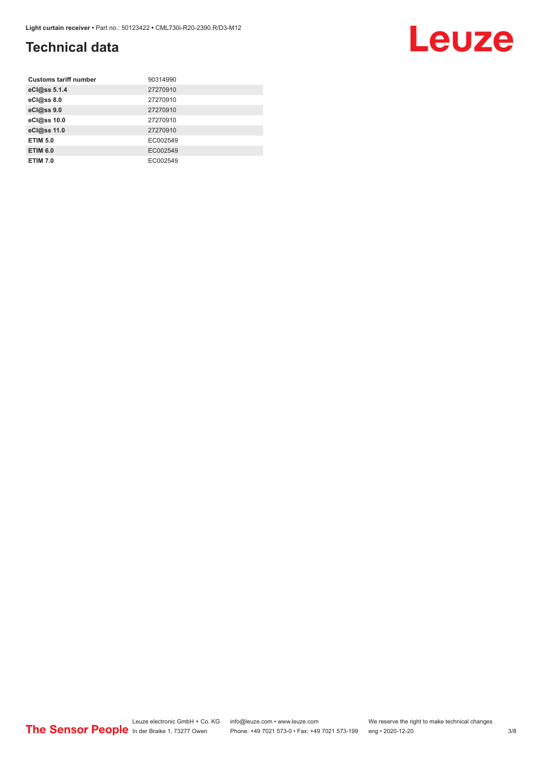### **Technical data**

| <b>Customs tariff number</b> | 90314990 |
|------------------------------|----------|
| eCl@ss 5.1.4                 | 27270910 |
| eCl@ss 8.0                   | 27270910 |
| eCl@ss 9.0                   | 27270910 |
| eCl@ss 10.0                  | 27270910 |
| eCl@ss 11.0                  | 27270910 |
| <b>ETIM 5.0</b>              | EC002549 |
| <b>ETIM 6.0</b>              | EC002549 |
| <b>ETIM 7.0</b>              | EC002549 |

#### Leuze electronic GmbH + Co. KG info@leuze.com • www.leuze.com We reserve the right to make technical changes ln der Braike 1, 73277 Owen Phone: +49 7021 573-0 • Fax: +49 7021 573-199 eng • 2020-12-20 3/8

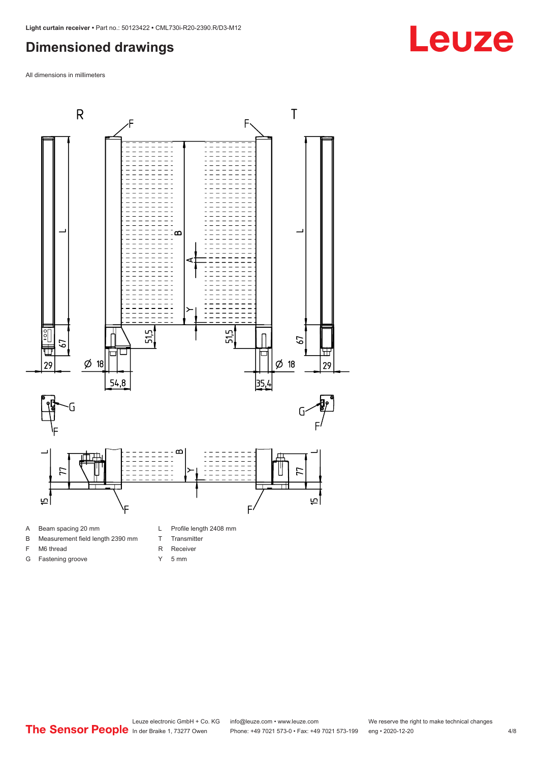#### <span id="page-3-0"></span>**Dimensioned drawings**

All dimensions in millimeters



- A Beam spacing 20 mm
- B Measurement field length 2390 mm
- F M6 thread

G Fastening groove

- R Receiver
	-
	- Y 5 mm

T Transmitter

Leuze electronic GmbH + Co. KG info@leuze.com • www.leuze.com We reserve the right to make technical changes<br>
The Sensor People in der Braike 1, 73277 Owen Phone: +49 7021 573-0 • Fax: +49 7021 573-199 eng • 2020-12-20 Phone: +49 7021 573-0 • Fax: +49 7021 573-199 eng • 2020-12-20 4/8

**Leuze**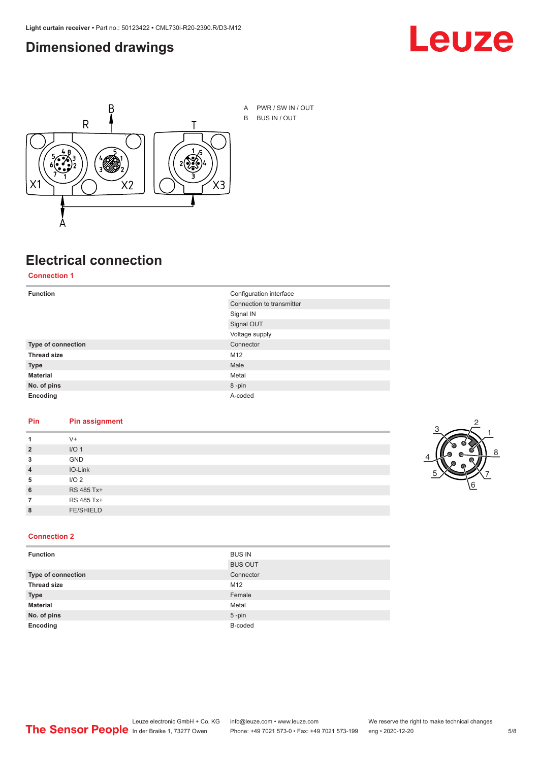#### <span id="page-4-0"></span>**Dimensioned drawings**





A PWR / SW IN / OUT B BUS IN / OUT

## **Electrical connection**

**Connection 1**

| <b>Function</b>    | Configuration interface   |
|--------------------|---------------------------|
|                    | Connection to transmitter |
|                    | Signal IN                 |
|                    | Signal OUT                |
|                    | Voltage supply            |
| Type of connection | Connector                 |
| <b>Thread size</b> | M12                       |
| <b>Type</b>        | Male                      |
| <b>Material</b>    | Metal                     |
| No. of pins        | 8-pin                     |
| Encoding           | A-coded                   |

#### **Pin Pin assignment**

| 1              | $V +$            |  |  |
|----------------|------------------|--|--|
| $\overline{2}$ | I/O <sub>1</sub> |  |  |
| 3              | <b>GND</b>       |  |  |
| $\overline{4}$ | IO-Link          |  |  |
| 5              | I/O <sub>2</sub> |  |  |
| 6              | RS 485 Tx+       |  |  |
| 7              | RS 485 Tx+       |  |  |
| 8              | <b>FE/SHIELD</b> |  |  |
|                |                  |  |  |



#### **Connection 2**

| <b>Function</b>    | <b>BUS IN</b>  |
|--------------------|----------------|
|                    | <b>BUS OUT</b> |
| Type of connection | Connector      |
| <b>Thread size</b> | M12            |
| <b>Type</b>        | Female         |
| <b>Material</b>    | Metal          |
| No. of pins        | $5$ -pin       |
| Encoding           | B-coded        |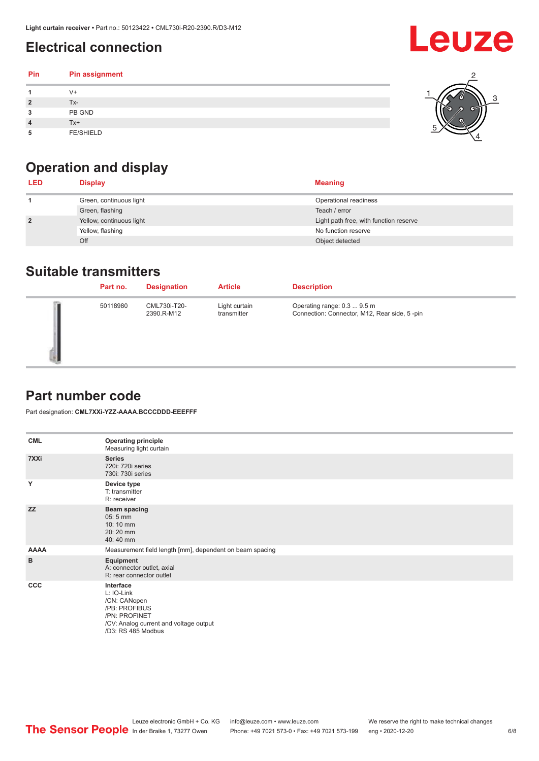### <span id="page-5-0"></span>**Electrical connection**

| Pin | Pin assignment   |  |
|-----|------------------|--|
|     | V+               |  |
| ∍   | Tx-              |  |
| 3   | PB GND           |  |
|     | Tx+              |  |
| 5   | <b>FE/SHIELD</b> |  |

### **Operation and display**

| <b>LED</b>     | <b>Display</b>           | <b>Meaning</b>                         |
|----------------|--------------------------|----------------------------------------|
|                | Green, continuous light  | Operational readiness                  |
|                | Green, flashing          | Teach / error                          |
| $\overline{2}$ | Yellow, continuous light | Light path free, with function reserve |
|                | Yellow, flashing         | No function reserve                    |
|                | Off                      | Object detected                        |

#### **Suitable transmitters**

| Part no. | <b>Designation</b>         | <b>Article</b>               | <b>Description</b>                                                          |
|----------|----------------------------|------------------------------|-----------------------------------------------------------------------------|
| 50118980 | CML730i-T20-<br>2390.R-M12 | Light curtain<br>transmitter | Operating range: 0.3  9.5 m<br>Connection: Connector, M12, Rear side, 5-pin |

#### **Part number code**

Part designation: **CML7XXi-YZZ-AAAA.BCCCDDD-EEEFFF**

| <b>CML</b>  | <b>Operating principle</b><br>Measuring light curtain                                                                                     |
|-------------|-------------------------------------------------------------------------------------------------------------------------------------------|
| 7XXi        | <b>Series</b><br>720i: 720i series<br>730i: 730i series                                                                                   |
| Y           | Device type<br>T: transmitter<br>R: receiver                                                                                              |
| <b>ZZ</b>   | <b>Beam spacing</b><br>$05:5$ mm<br>10:10 mm<br>20:20 mm<br>40:40 mm                                                                      |
| <b>AAAA</b> | Measurement field length [mm], dependent on beam spacing                                                                                  |
| B           | Equipment<br>A: connector outlet, axial<br>R: rear connector outlet                                                                       |
| <b>CCC</b>  | Interface<br>L: IO-Link<br>/CN: CANopen<br>/PB: PROFIBUS<br>/PN: PROFINET<br>/CV: Analog current and voltage output<br>/D3: RS 485 Modbus |

**Leuze**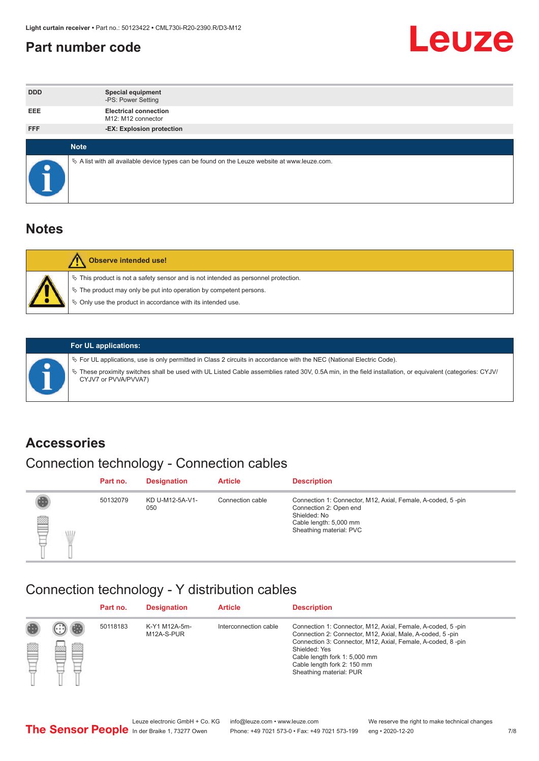#### <span id="page-6-0"></span>**Part number code**



| <b>DDD</b> | <b>Special equipment</b><br>-PS: Power Setting                                                    |
|------------|---------------------------------------------------------------------------------------------------|
| <b>EEE</b> | <b>Electrical connection</b><br>M12: M12 connector                                                |
| <b>FFF</b> | -EX: Explosion protection                                                                         |
|            | <b>Note</b>                                                                                       |
| $\bullet$  | Vector A list with all available device types can be found on the Leuze website at www.leuze.com. |

#### **Notes**

| Observe intended use!                                                                                                                                                                                                         |
|-------------------------------------------------------------------------------------------------------------------------------------------------------------------------------------------------------------------------------|
| $\%$ This product is not a safety sensor and is not intended as personnel protection.<br>$\%$ The product may only be put into operation by competent persons.<br>₿ Only use the product in accordance with its intended use. |



#### **For UL applications:**

ª For UL applications, use is only permitted in Class 2 circuits in accordance with the NEC (National Electric Code). ª These proximity switches shall be used with UL Listed Cable assemblies rated 30V, 0.5A min, in the field installation, or equivalent (categories: CYJV/ CYJV7 or PVVA/PVVA7)

#### **Accessories**

### Connection technology - Connection cables

|        | Part no. | <b>Designation</b>     | <b>Article</b>   | <b>Description</b>                                                                                                                                         |
|--------|----------|------------------------|------------------|------------------------------------------------------------------------------------------------------------------------------------------------------------|
| 2<br>W | 50132079 | KD U-M12-5A-V1-<br>050 | Connection cable | Connection 1: Connector, M12, Axial, Female, A-coded, 5-pin<br>Connection 2: Open end<br>Shielded: No<br>Cable length: 5,000 mm<br>Sheathing material: PVC |

#### Connection technology - Y distribution cables

|   |   | Part no. | <b>Designation</b>          | <b>Article</b>        | <b>Description</b>                                                                                                                                                                                                                                                                                  |
|---|---|----------|-----------------------------|-----------------------|-----------------------------------------------------------------------------------------------------------------------------------------------------------------------------------------------------------------------------------------------------------------------------------------------------|
| Ø | ø | 50118183 | K-Y1 M12A-5m-<br>M12A-S-PUR | Interconnection cable | Connection 1: Connector, M12, Axial, Female, A-coded, 5-pin<br>Connection 2: Connector, M12, Axial, Male, A-coded, 5-pin<br>Connection 3: Connector, M12, Axial, Female, A-coded, 8-pin<br>Shielded: Yes<br>Cable length fork 1: 5,000 mm<br>Cable length fork 2: 150 mm<br>Sheathing material: PUR |